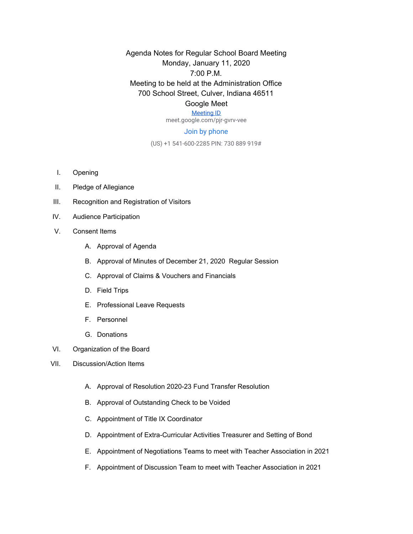Agenda Notes for Regular School Board Meeting Monday, January 11, 2020 7:00 P.M. Meeting to be held at the Administration Office 700 School Street, Culver, Indiana 46511 Google Meet

## [Meeting ID](https://meet.google.com/pjr-gvrv-vee)

meet.google.com/pjr-gvrv-vee

## Join by phone

(US) +1 541-600-2285 PIN: 730 889 919#

- I. Opening
- II. Pledge of Allegiance
- III. Recognition and Registration of Visitors
- IV. Audience Participation
- V. Consent Items
	- A. Approval of Agenda
	- B. Approval of Minutes of December 21, 2020 Regular Session
	- C. Approval of Claims & Vouchers and Financials
	- D. Field Trips
	- E. Professional Leave Requests
	- F. Personnel
	- G. Donations
- VI. Organization of the Board
- VII. Discussion/Action Items
	- A. Approval of Resolution 2020-23 Fund Transfer Resolution
	- B. Approval of Outstanding Check to be Voided
	- C. Appointment of Title IX Coordinator
	- D. Appointment of Extra-Curricular Activities Treasurer and Setting of Bond
	- E. Appointment of Negotiations Teams to meet with Teacher Association in 2021
	- F. Appointment of Discussion Team to meet with Teacher Association in 2021